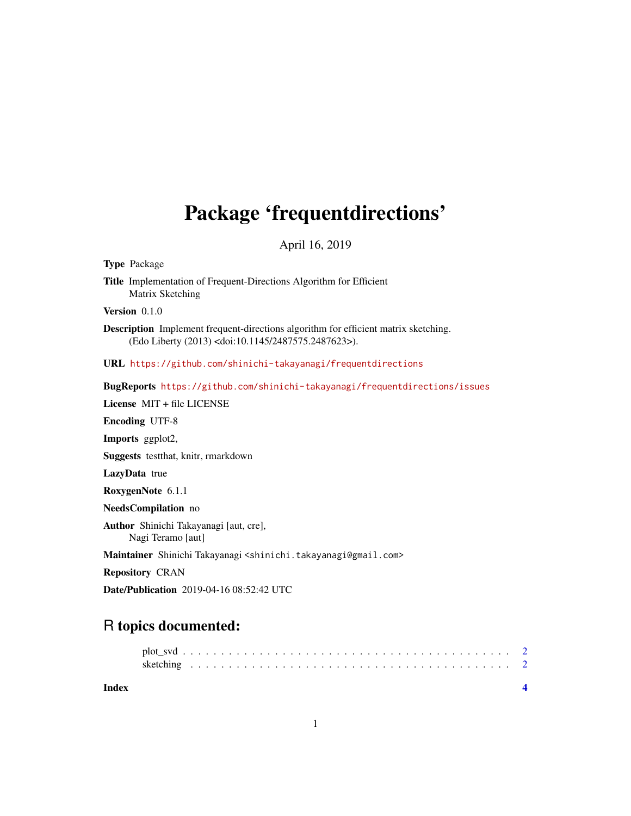## Package 'frequentdirections'

April 16, 2019

Type Package

Title Implementation of Frequent-Directions Algorithm for Efficient Matrix Sketching

Version 0.1.0

Description Implement frequent-directions algorithm for efficient matrix sketching. (Edo Liberty (2013) <doi:10.1145/2487575.2487623>).

URL <https://github.com/shinichi-takayanagi/frequentdirections>

BugReports <https://github.com/shinichi-takayanagi/frequentdirections/issues>

License MIT + file LICENSE Encoding UTF-8 Imports ggplot2, Suggests testthat, knitr, rmarkdown LazyData true RoxygenNote 6.1.1 NeedsCompilation no Author Shinichi Takayanagi [aut, cre], Nagi Teramo [aut] Maintainer Shinichi Takayanagi <shinichi.takayanagi@gmail.com> Repository CRAN Date/Publication 2019-04-16 08:52:42 UTC

### R topics documented:

**Index** [4](#page-3-0)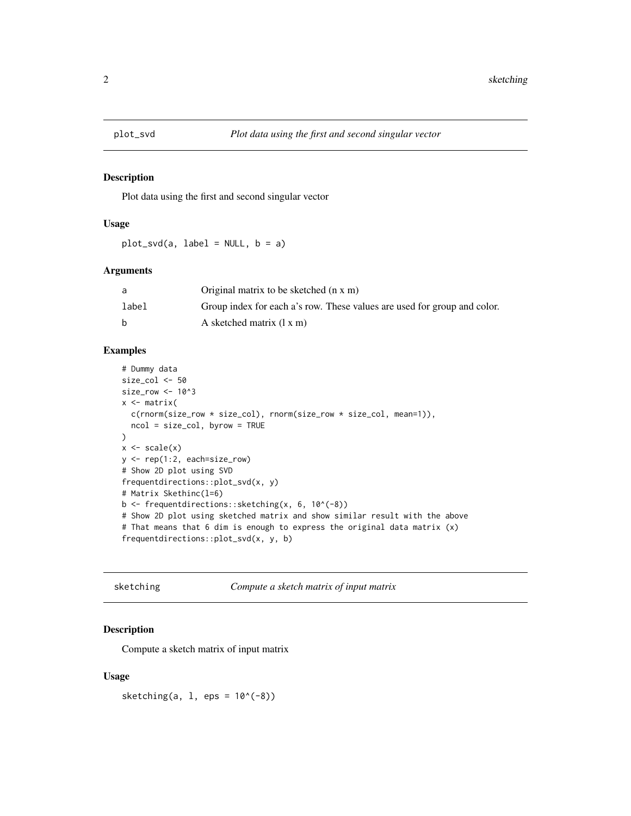<span id="page-1-0"></span>

#### Description

Plot data using the first and second singular vector

#### Usage

plot\_svd(a, label = NULL, b = a)

#### Arguments

| a     | Original matrix to be sketched (n x m)                                   |
|-------|--------------------------------------------------------------------------|
| label | Group index for each a's row. These values are used for group and color. |
|       | A sketched matrix $(1 x m)$                                              |

#### Examples

```
# Dummy data
size_col <- 50
size_row <- 10^3
x <- matrix(
  c(rnorm(size_row * size_col), rnorm(size_row * size_col, mean=1)),
  ncol = size_col, byrow = TRUE
)
x \leftarrow scale(x)y <- rep(1:2, each=size_row)
# Show 2D plot using SVD
frequentdirections::plot_svd(x, y)
# Matrix Skethinc(l=6)
b <- frequentdirections::sketching(x, 6, 10^(-8))
# Show 2D plot using sketched matrix and show similar result with the above
# That means that 6 dim is enough to express the original data matrix (x)
frequentdirections::plot_svd(x, y, b)
```
sketching *Compute a sketch matrix of input matrix*

#### Description

Compute a sketch matrix of input matrix

#### Usage

sketching(a,  $1$ , eps =  $10^(-8)$ )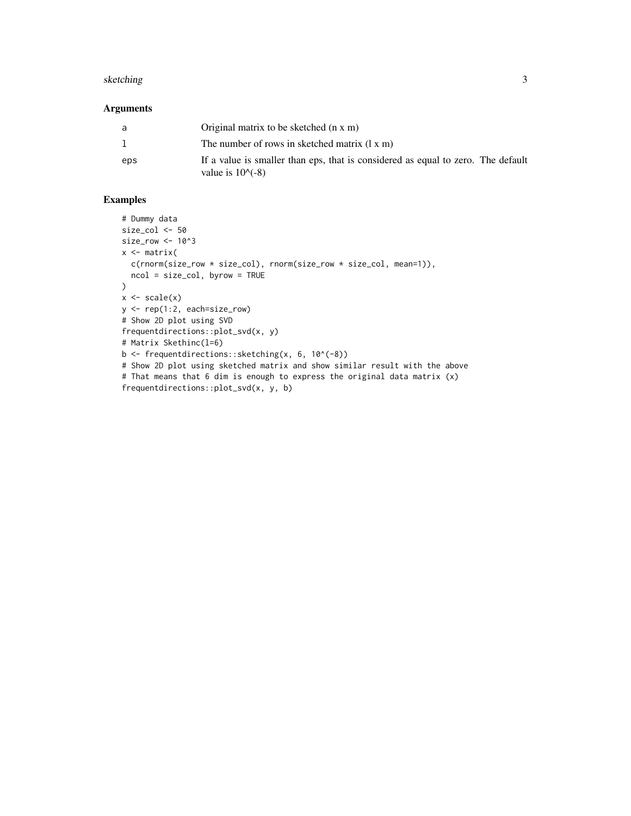#### sketching 3

#### Arguments

| a   | Original matrix to be sketched (n x m)                                                                        |
|-----|---------------------------------------------------------------------------------------------------------------|
| -1. | The number of rows in sketched matrix $(1 x m)$                                                               |
| eps | If a value is smaller than eps, that is considered as equal to zero. The default<br>value is $10^{\circ}(-8)$ |

#### Examples

```
# Dummy data
size_col <- 50
size_row <- 10^3
x \leftarrow matrix(
 c(rnorm(size_row * size_col), rnorm(size_row * size_col, mean=1)),
 ncol = size_col, byrow = TRUE
\lambdax \leftarrow scale(x)y <- rep(1:2, each=size_row)
# Show 2D plot using SVD
frequentdirections::plot_svd(x, y)
# Matrix Skethinc(l=6)
b <- frequentdirections::sketching(x, 6, 10^(-8))
# Show 2D plot using sketched matrix and show similar result with the above
# That means that 6 dim is enough to express the original data matrix (x)
frequentdirections::plot_svd(x, y, b)
```